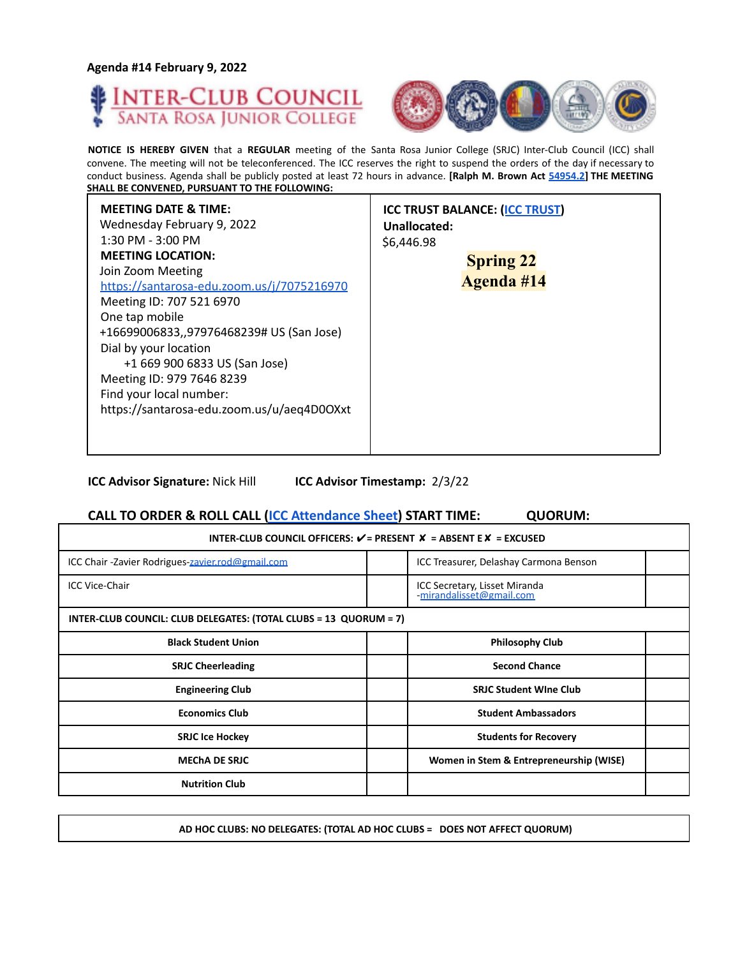**Agenda #14 February 9, 2022**





**NOTICE IS HEREBY GIVEN** that a **REGULAR** meeting of the Santa Rosa Junior College (SRJC) Inter-Club Council (ICC) shall convene. The meeting will not be teleconferenced. The ICC reserves the right to suspend the orders of the day if necessary to conduct business. Agenda shall be publicly posted at least 72 hours in advance. **[Ralph M. Brown Act 54954.2] THE MEETING SHALL BE CONVENED, PURSUANT TO THE FOLLOWING:**

| <b>MEETING DATE &amp; TIME:</b><br>Wednesday February 9, 2022<br>$1:30$ PM - $3:00$ PM<br><b>MEETING LOCATION:</b><br>Join Zoom Meeting<br>https://santarosa-edu.zoom.us/j/7075216970<br>Meeting ID: 707 521 6970<br>One tap mobile<br>+16699006833,,97976468239# US (San Jose)<br>Dial by your location<br>+1 669 900 6833 US (San Jose)<br>Meeting ID: 979 7646 8239<br>Find your local number:<br>https://santarosa-edu.zoom.us/u/aeq4D0OXxt | <b>ICC TRUST BALANCE: (ICC TRUST)</b><br>Unallocated:<br>\$6,446.98<br><b>Spring 22</b><br>Agenda #14 |
|-------------------------------------------------------------------------------------------------------------------------------------------------------------------------------------------------------------------------------------------------------------------------------------------------------------------------------------------------------------------------------------------------------------------------------------------------|-------------------------------------------------------------------------------------------------------|
|-------------------------------------------------------------------------------------------------------------------------------------------------------------------------------------------------------------------------------------------------------------------------------------------------------------------------------------------------------------------------------------------------------------------------------------------------|-------------------------------------------------------------------------------------------------------|

**ICC Advisor Signature:** Nick Hill **ICC Advisor Timestamp:** 2/3/22

## **CALL TO ORDER & ROLL CALL (ICC Attendance Sheet) START TIME: QUORUM:**

| INTER-CLUB COUNCIL OFFICERS: $V = P$ RESENT $X = AB$ SENT E $X = EXCUSED$ |                                                          |  |
|---------------------------------------------------------------------------|----------------------------------------------------------|--|
| ICC Chair - Zavier Rodrigues-zavier.rod@gmail.com                         | ICC Treasurer, Delashay Carmona Benson                   |  |
| <b>ICC Vice-Chair</b>                                                     | ICC Secretary, Lisset Miranda<br>mirandalisset@gmail.com |  |
| INTER-CLUB COUNCIL: CLUB DELEGATES: (TOTAL CLUBS = 13 QUORUM = 7)         |                                                          |  |
| <b>Black Student Union</b>                                                | <b>Philosophy Club</b>                                   |  |
| <b>SRJC Cheerleading</b>                                                  | <b>Second Chance</b>                                     |  |
| <b>Engineering Club</b>                                                   | <b>SRJC Student Wine Club</b>                            |  |
| <b>Economics Club</b>                                                     | <b>Student Ambassadors</b>                               |  |
| <b>SRJC Ice Hockey</b>                                                    | <b>Students for Recovery</b>                             |  |
| <b>MECHA DE SRJC</b>                                                      | Women in Stem & Entrepreneurship (WISE)                  |  |
| <b>Nutrition Club</b>                                                     |                                                          |  |

**AD HOC CLUBS: NO DELEGATES: (TOTAL AD HOC CLUBS = DOES NOT AFFECT QUORUM)**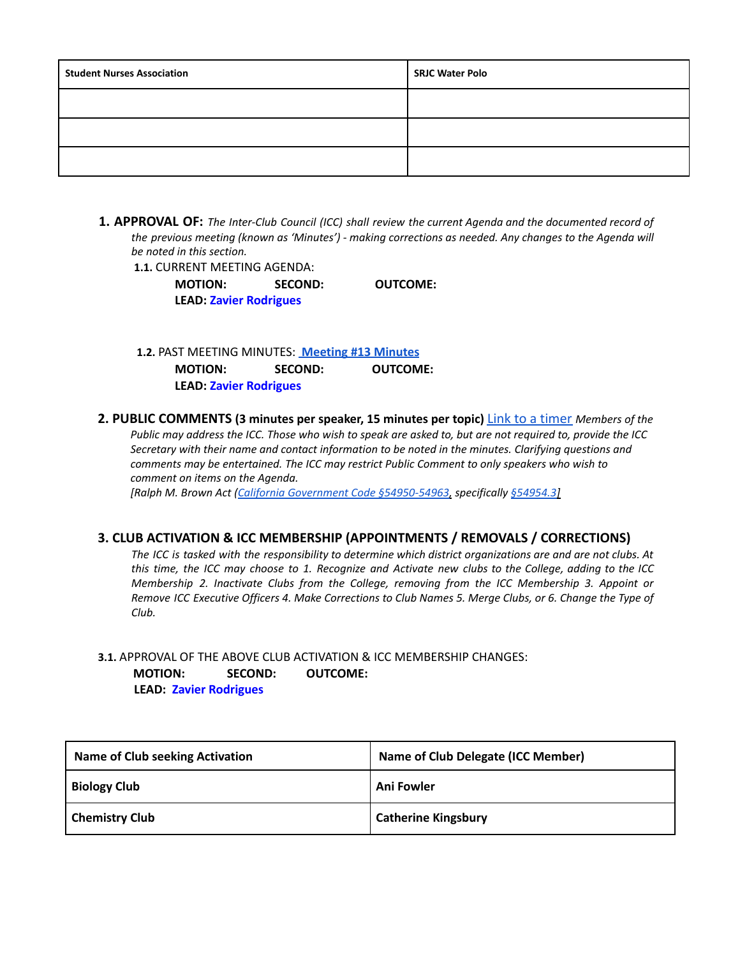| <b>Student Nurses Association</b> | <b>SRJC Water Polo</b> |
|-----------------------------------|------------------------|
|                                   |                        |
|                                   |                        |
|                                   |                        |

**1. APPROVAL OF:** *The Inter-Club Council (ICC) shall review the current Agenda and the documented record of the previous meeting (known as 'Minutes') - making corrections as needed. Any changes to the Agenda will be noted in this section.*

**1.1.** CURRENT MEETING AGENDA:

**MOTION: SECOND: OUTCOME: LEAD: Zavier Rodrigues**

**1.2.** PAST MEETING MINUTES: **[Meeting](https://docs.google.com/document/d/1LZ0_QUWC0CCRMBSTxIijGBXSWFeNcm6mRslZ6sZaO9w/edit?usp=sharing) #13 Minutes MOTION: SECOND: OUTCOME: LEAD: Zavier Rodrigues**

**2. PUBLIC COMMENTS (3 minutes per speaker, 15 minutes per topic)** Link to a timer *Members of the* Public may address the ICC. Those who wish to speak are asked to, but are not required to, provide the ICC *Secretary with their name and contact information to be noted in the minutes. Clarifying questions and comments may be entertained. The ICC may restrict Public Comment to only speakers who wish to comment on items on the Agenda.*

*[Ralph M. Brown Act (California Government Code §54950-54963, specifically §54954.3]*

## **3. CLUB ACTIVATION & ICC MEMBERSHIP (APPOINTMENTS / REMOVALS / CORRECTIONS)**

The ICC is tasked with the responsibility to determine which district organizations are and are not clubs. At this time, the ICC may choose to 1. Recognize and Activate new clubs to the College, adding to the ICC *Membership 2. Inactivate Clubs from the College, removing from the ICC Membership 3. Appoint or* Remove ICC Executive Officers 4. Make Corrections to Club Names 5. Merge Clubs, or 6. Change the Type of *Club.*

## **3.1.** APPROVAL OF THE ABOVE CLUB ACTIVATION & ICC MEMBERSHIP CHANGES: **MOTION: SECOND: OUTCOME: LEAD: Zavier Rodrigues**

| <b>Name of Club seeking Activation</b> | <b>Name of Club Delegate (ICC Member)</b> |
|----------------------------------------|-------------------------------------------|
| <b>Biology Club</b>                    | Ani Fowler                                |
| <b>Chemistry Club</b>                  | <b>Catherine Kingsbury</b>                |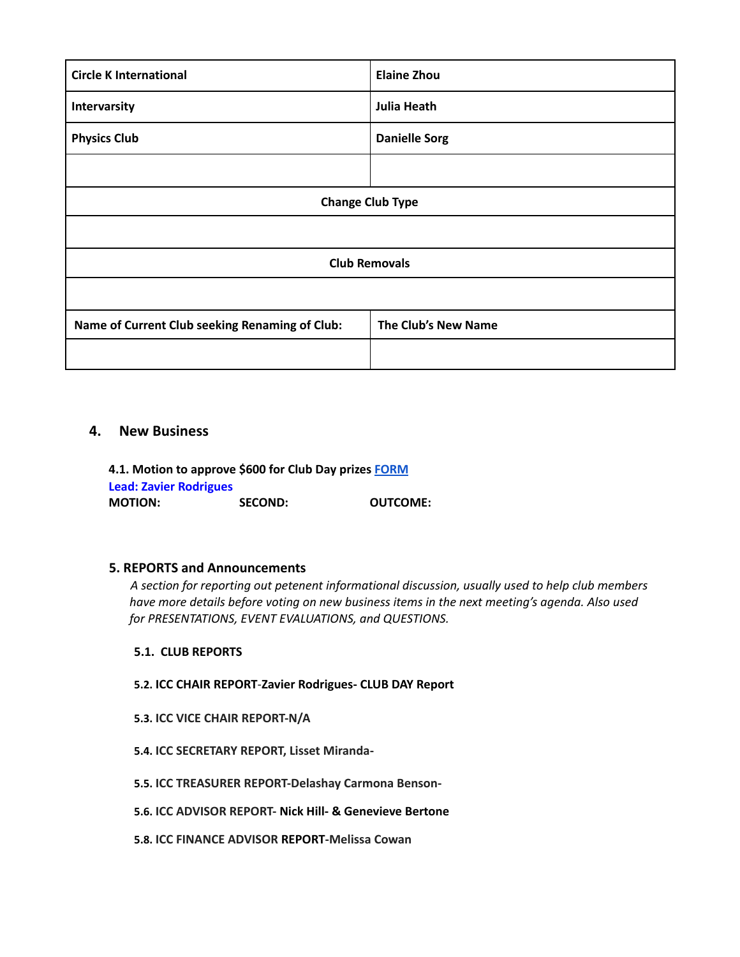| <b>Circle K International</b>                  | <b>Elaine Zhou</b>   |  |
|------------------------------------------------|----------------------|--|
| Intervarsity                                   | <b>Julia Heath</b>   |  |
| <b>Physics Club</b>                            | <b>Danielle Sorg</b> |  |
|                                                |                      |  |
| <b>Change Club Type</b>                        |                      |  |
|                                                |                      |  |
| <b>Club Removals</b>                           |                      |  |
|                                                |                      |  |
| Name of Current Club seeking Renaming of Club: | The Club's New Name  |  |
|                                                |                      |  |

# **4. New Business**

**4.1. Motion to approve \$600 for Club Day prizes [FORM](https://studentlife.santarosa.edu/sites/studentlife.santarosa.edu/files/documents/ICC%20Grant%20Application%20-Club%20Day%20Giveaway%20%281%29.pdf) Lead: Zavier Rodrigues MOTION: SECOND: OUTCOME:**

## **5. REPORTS and Announcements**

*A section for reporting out petenent informational discussion, usually used to help club members have more details before voting on new business items in the next meeting's agenda. Also used for PRESENTATIONS, EVENT EVALUATIONS, and QUESTIONS.*

## **5.1. CLUB REPORTS**

- **5.2. ICC CHAIR REPORT**-**Zavier Rodrigues- CLUB DAY Report**
- **5.3. ICC VICE CHAIR REPORT-N/A**
- **5.4. ICC SECRETARY REPORT, Lisset Miranda-**
- **5.5. ICC TREASURER REPORT-Delashay Carmona Benson-**
- **5.6. ICC ADVISOR REPORT- Nick Hill- & Genevieve Bertone**
- **5.8. ICC FINANCE ADVISOR REPORT-Melissa Cowan**